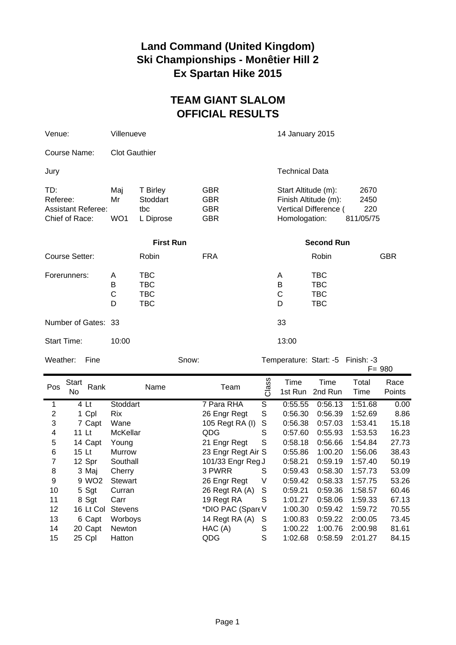## **Land Command (United Kingdom) Ski Championships - Monêtier Hill 2 Ex Spartan Hike 2015**

## **TEAM GIANT SLALOM OFFICIAL RESULTS**

| Venue:                                                         | Villenueve           |                                                      |                                                      | 14 January 2015                                                                       |                                               |            |
|----------------------------------------------------------------|----------------------|------------------------------------------------------|------------------------------------------------------|---------------------------------------------------------------------------------------|-----------------------------------------------|------------|
| Course Name:                                                   | <b>Clot Gauthier</b> |                                                      |                                                      |                                                                                       |                                               |            |
| Jury                                                           |                      |                                                      |                                                      |                                                                                       | <b>Technical Data</b>                         |            |
| TD:<br>Referee:<br><b>Assistant Referee:</b><br>Chief of Race: | Maj<br>Mr<br>WO1     | T Birley<br>Stoddart<br>tbc<br>L Diprose             | <b>GBR</b><br><b>GBR</b><br><b>GBR</b><br><b>GBR</b> | Start Altitude (m):<br>Finish Altitude (m):<br>Vertical Difference (<br>Homologation: | 2670<br>2450<br>220<br>811/05/75              |            |
| <b>First Run</b>                                               |                      |                                                      |                                                      |                                                                                       | <b>Second Run</b>                             |            |
| Course Setter:                                                 |                      | Robin                                                | <b>FRA</b>                                           |                                                                                       | Robin                                         | <b>GBR</b> |
| Forerunners:                                                   | A<br>В<br>C<br>D     | <b>TBC</b><br><b>TBC</b><br><b>TBC</b><br><b>TBC</b> |                                                      | A<br>B<br>C<br>D                                                                      | TBC<br><b>TBC</b><br><b>TBC</b><br><b>TBC</b> |            |
| Number of Gates: 33                                            |                      |                                                      |                                                      | 33                                                                                    |                                               |            |
| <b>Start Time:</b>                                             | 10:00                |                                                      |                                                      | 13:00                                                                                 |                                               |            |
| Weather:<br>Snow:<br>Fine                                      |                      |                                                      |                                                      |                                                                                       | Temperature: Start: -5 Finish: -3             |            |

|                         |                      |                 |      |                    |         |                 |                 |               | $F = 980$      |
|-------------------------|----------------------|-----------------|------|--------------------|---------|-----------------|-----------------|---------------|----------------|
| Pos                     | Start<br>Rank<br>No. |                 | Name | Team               | SS<br>Ğ | Time<br>1st Run | Time<br>2nd Run | Total<br>Time | Race<br>Points |
| 1                       | 4 Lt                 | Stoddart        |      | 7 Para RHA         | S       | 0:55.55         | 0:56.13         | 1:51.68       | 0.00           |
| $\overline{2}$          | 1 Cpl                | <b>Rix</b>      |      | 26 Engr Regt       | S       | 0:56.30         | 0:56.39         | 1:52.69       | 8.86           |
| 3                       | 7 Capt               | Wane            |      | 105 Regt RA (I)    | S       | 0:56.38         | 0:57.03         | 1:53.41       | 15.18          |
| $\overline{\mathbf{4}}$ | 11 Lt                | <b>McKellar</b> |      | QDG                | S       | 0:57.60         | 0:55.93         | 1:53.53       | 16.23          |
| 5                       | 14 Capt              | Young           |      | 21 Engr Regt       | S       | 0:58.18         | 0:56.66         | 1:54.84       | 27.73          |
| 6                       | 15 Lt                | Murrow          |      | 23 Engr Regt Air S |         | 0:55.86         | 1:00.20         | 1:56.06       | 38.43          |
| 7                       | 12 Spr               | Southall        |      | 101/33 Engr Reg J  |         | 0:58.21         | 0:59.19         | 1:57.40       | 50.19          |
| 8                       | 3 Maj                | Cherry          |      | 3 PWRR             | S       | 0:59.43         | 0:58.30         | 1:57.73       | 53.09          |
| 9                       | 9 WO <sub>2</sub>    | Stewart         |      | 26 Engr Regt       | V       | 0:59.42         | 0:58.33         | 1:57.75       | 53.26          |
| 10                      | 5 Sgt                | Curran          |      | 26 Regt RA (A)     | S       | 0:59.21         | 0:59.36         | 1:58.57       | 60.46          |
| 11                      | 8 Sgt                | Carr            |      | 19 Regt RA         | S       | 1:01.27         | 0:58.06         | 1:59.33       | 67.13          |
| 12                      | 16 Lt Col            | <b>Stevens</b>  |      | *DIO PAC (Spare V  |         | 1:00.30         | 0:59.42         | 1:59.72       | 70.55          |
| 13                      | 6 Capt               | Worboys         |      | 14 Regt RA (A)     | S       | 1:00.83         | 0:59.22         | 2:00.05       | 73.45          |
| 14                      | 20 Capt              | <b>Newton</b>   |      | HAC(A)             | S       | 1:00.22         | 1:00.76         | 2:00.98       | 81.61          |
| 15                      | 25 Cpl               | Hatton          |      | QDG                | S       | 1:02.68         | 0:58.59         | 2:01.27       | 84.15          |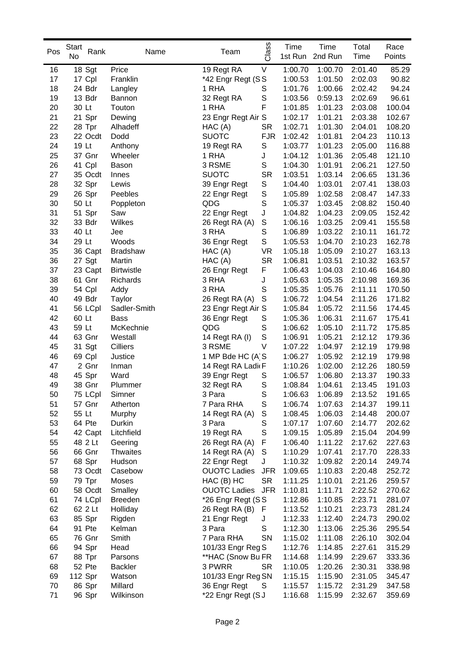| Pos | <b>Start</b><br>Rank | Name              | Team                | Class       | Time    | Time    | Total   | Race   |
|-----|----------------------|-------------------|---------------------|-------------|---------|---------|---------|--------|
|     | No                   |                   |                     |             | 1st Run | 2nd Run | Time    | Points |
| 16  | 18 Sgt               | Price             | 19 Regt RA          | V           | 1:00.70 | 1:00.70 | 2:01.40 | 85.29  |
| 17  | 17 Cpl               | Franklin          | *42 Engr Regt (SS   |             | 1:00.53 | 1:01.50 | 2:02.03 | 90.82  |
| 18  | 24 Bdr               | Langley           | 1 RHA               | S           | 1:01.76 | 1:00.66 | 2:02.42 | 94.24  |
| 19  | 13 Bdr               | Bannon            | 32 Regt RA          | $\mathbb S$ | 1:03.56 | 0:59.13 | 2:02.69 | 96.61  |
| 20  | 30 Lt                | Touton            | 1 RHA               | F           | 1:01.85 | 1:01.23 | 2:03.08 | 100.04 |
| 21  | 21 Spr               | Dewing            | 23 Engr Regt Air S  |             | 1:02.17 | 1:01.21 | 2:03.38 | 102.67 |
| 22  | 28 Tpr               | Alhadeff          | HAC (A)             | <b>SR</b>   | 1:02.71 | 1:01.30 | 2:04.01 | 108.20 |
| 23  | 22 Ocdt              | Dodd              | <b>SUOTC</b>        | <b>FJR</b>  | 1:02.42 | 1:01.81 | 2:04.23 | 110.13 |
| 24  | 19 Lt                | Anthony           | 19 Regt RA          | S           | 1:03.77 | 1:01.23 | 2:05.00 | 116.88 |
| 25  | 37 Gnr               | Wheeler           | 1 RHA               | J           | 1:04.12 | 1:01.36 | 2:05.48 | 121.10 |
| 26  | 41 Cpl               | Bason             | 3 RSME              | S           | 1:04.30 | 1:01.91 | 2:06.21 | 127.50 |
| 27  | 35 Ocdt              | Innes             | <b>SUOTC</b>        | <b>SR</b>   | 1:03.51 | 1:03.14 | 2:06.65 | 131.36 |
| 28  | 32 Spr               | Lewis             | 39 Engr Regt        | S           | 1:04.40 | 1:03.01 | 2:07.41 | 138.03 |
| 29  | 26 Spr               | Peebles           | 22 Engr Regt        | $\mathbb S$ | 1:05.89 | 1:02.58 | 2:08.47 | 147.33 |
| 30  | 50 Lt                | Poppleton         | QDG                 | $\mathbb S$ | 1:05.37 | 1:03.45 | 2:08.82 | 150.40 |
| 31  | 51 Spr               | Saw               | 22 Engr Regt        | J           | 1:04.82 | 1:04.23 | 2:09.05 | 152.42 |
| 32  | 33 Bdr               | Wilkes            | 26 Regt RA (A)      | $\mathbb S$ | 1:06.16 | 1:03.25 | 2:09.41 | 155.58 |
| 33  | 40 Lt                | Jee               | 3 RHA               | $\mathbb S$ | 1:06.89 | 1:03.22 | 2:10.11 | 161.72 |
| 34  | 29 Lt                | Woods             | 36 Engr Regt        | S           | 1:05.53 | 1:04.70 | 2:10.23 | 162.78 |
| 35  | 36 Capt              | <b>Bradshaw</b>   | HAC(A)              | <b>VR</b>   | 1:05.18 | 1:05.09 | 2:10.27 | 163.13 |
| 36  | 27 Sgt               | Martin            | HAC(A)              | <b>SR</b>   | 1:06.81 | 1:03.51 | 2:10.32 | 163.57 |
| 37  | 23 Capt              | <b>Birtwistle</b> | 26 Engr Regt        | F           | 1:06.43 | 1:04.03 | 2:10.46 | 164.80 |
| 38  | 61 Gnr               | Richards          | 3 RHA               | J           | 1:05.63 | 1:05.35 | 2:10.98 | 169.36 |
| 39  | 54 Cpl               | Addy              | 3 RHA               | S           | 1:05.35 | 1:05.76 | 2:11.11 | 170.50 |
| 40  | 49 Bdr               | Taylor            | 26 Regt RA (A)      | S           | 1:06.72 | 1:04.54 | 2:11.26 | 171.82 |
| 41  | 56 LCpl              | Sadler-Smith      | 23 Engr Regt Air S  |             | 1:05.84 | 1:05.72 | 2:11.56 | 174.45 |
| 42  | 60 Lt                | <b>Bass</b>       | 36 Engr Regt        | S           | 1:05.36 | 1:06.31 | 2:11.67 | 175.41 |
| 43  | 59 Lt                | McKechnie         | QDG                 | S           | 1:06.62 | 1:05.10 | 2:11.72 | 175.85 |
| 44  | 63 Gnr               | Westall           | 14 Regt RA (I)      | $\mathbb S$ | 1:06.91 | 1:05.21 | 2:12.12 | 179.36 |
| 45  | 31 Sgt               | Cilliers          | 3 RSME              | V           | 1:07.22 | 1:04.97 | 2:12.19 | 179.98 |
| 46  | 69 Cpl               | Justice           | 1 MP Bde HC (A S    |             | 1:06.27 | 1:05.92 | 2:12.19 | 179.98 |
| 47  | 2 Gnr                | Inman             | 14 Regt RA Ladi(F   |             | 1:10.26 | 1:02.00 | 2:12.26 | 180.59 |
| 48  | 45 Spr               | Ward              | 39 Engr Regt        | S           | 1:06.57 | 1:06.80 | 2:13.37 | 190.33 |
| 49  | 38 Gnr               | Plummer           | 32 Regt RA          | S           | 1:08.84 | 1:04.61 | 2:13.45 | 191.03 |
| 50  | 75 LCpl              | Simner            | 3 Para              | S           | 1:06.63 | 1:06.89 | 2:13.52 | 191.65 |
| 51  | 57 Gnr               | Atherton          | 7 Para RHA          | S           | 1:06.74 | 1:07.63 | 2:14.37 | 199.11 |
| 52  | 55 Lt                | Murphy            | 14 Regt RA (A)      | S           | 1:08.45 | 1:06.03 | 2:14.48 | 200.07 |
| 53  | 64 Pte               | Durkin            | 3 Para              | S           | 1:07.17 | 1:07.60 | 2:14.77 | 202.62 |
| 54  | 42 Capt              | Litchfield        | 19 Regt RA          | S           | 1:09.15 | 1:05.89 | 2:15.04 | 204.99 |
| 55  | 48 2 Lt              | Geering           | 26 Regt RA (A)      | F           | 1:06.40 | 1:11.22 | 2:17.62 | 227.63 |
| 56  | 66 Gnr               | <b>Thwaites</b>   | 14 Regt RA (A)      | $\mathbb S$ | 1:10.29 | 1:07.41 | 2:17.70 | 228.33 |
| 57  | 68 Spr               | Hudson            | 22 Engr Regt        | J           | 1:10.32 | 1:09.82 | 2:20.14 | 249.74 |
| 58  | 73 Ocdt              | Casebow           | <b>OUOTC Ladies</b> | <b>JFR</b>  | 1:09.65 | 1:10.83 | 2:20.48 | 252.72 |
| 59  | 79 Tpr               | Moses             | HAC (B) HC          | <b>SR</b>   | 1:11.25 | 1:10.01 | 2:21.26 | 259.57 |
| 60  | 58 Ocdt              | Smalley           | <b>OUOTC Ladies</b> | <b>JFR</b>  | 1:10.81 | 1:11.71 | 2:22.52 | 270.62 |
| 61  | 74 LCpl              | <b>Breeden</b>    | *26 Engr Regt (SS   |             | 1:12.86 | 1:10.85 | 2:23.71 | 281.07 |
| 62  | 62 2 Lt              | Holliday          | 26 Regt RA (B)      | - F         | 1:13.52 | 1:10.21 | 2:23.73 | 281.24 |
| 63  | 85 Spr               | Rigden            | 21 Engr Regt        | J           | 1:12.33 | 1:12.40 | 2:24.73 | 290.02 |
| 64  | 91 Pte               | Kelman            | 3 Para              | S           | 1:12.30 | 1:13.06 | 2:25.36 | 295.54 |
| 65  | 76 Gnr               | Smith             | 7 Para RHA          | SN          | 1:15.02 | 1:11.08 | 2:26.10 | 302.04 |
| 66  | 94 Spr               | Head              | 101/33 Engr Reg S   |             | 1:12.76 | 1:14.85 | 2:27.61 | 315.29 |
| 67  | 88 Tpr               | Parsons           | **HAC (Snow Bu FR   |             | 1:14.68 | 1:14.99 | 2:29.67 | 333.36 |
| 68  | 52 Pte               | <b>Backler</b>    | 3 PWRR              | <b>SR</b>   | 1:10.05 | 1:20.26 | 2:30.31 | 338.98 |
| 69  | 112 Spr              | Watson            | 101/33 Engr Reg SN  |             | 1:15.15 | 1:15.90 | 2:31.05 | 345.47 |
| 70  | 86 Spr               | Millard           | 36 Engr Regt        | S           | 1:15.57 | 1:15.72 | 2:31.29 | 347.58 |
| 71  | 96 Spr               | Wilkinson         | *22 Engr Regt (SJ   |             | 1:16.68 | 1:15.99 | 2:32.67 | 359.69 |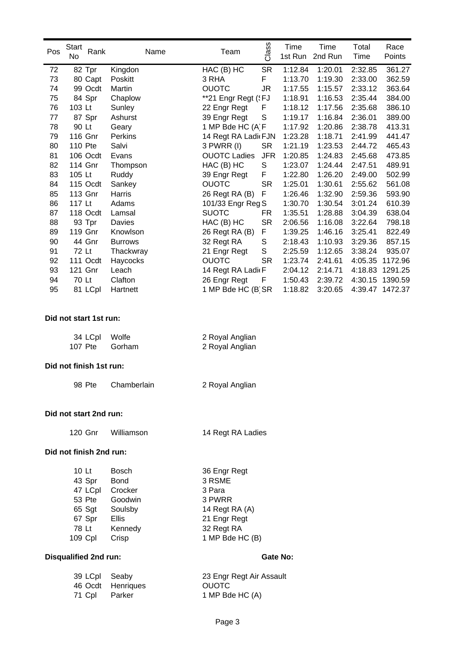| Pos | Start<br>Rank                | Name            | Class<br>Team                      | Time            | Time    | Total   | Race            |  |  |
|-----|------------------------------|-----------------|------------------------------------|-----------------|---------|---------|-----------------|--|--|
|     | No                           |                 |                                    | 1st Run         | 2nd Run | Time    | Points          |  |  |
| 72  | 82 Tpr                       | Kingdon         | <b>SR</b><br>HAC (B) HC            | 1:12.84         | 1:20.01 | 2:32.85 | 361.27          |  |  |
| 73  | 80 Capt                      | Poskitt         | F.<br>3 RHA                        | 1:13.70         | 1:19.30 | 2:33.00 | 362.59          |  |  |
| 74  | 99 Ocdt                      | Martin          | <b>OUOTC</b><br><b>JR</b>          | 1:17.55         | 1:15.57 | 2:33.12 | 363.64          |  |  |
| 75  | 84 Spr                       | Chaplow         | **21 Engr Regt ('FJ                | 1:18.91         | 1:16.53 | 2:35.44 | 384.00          |  |  |
| 76  | 103 Lt                       | Sunley          | 22 Engr Regt<br>F                  | 1:18.12         | 1:17.56 | 2:35.68 | 386.10          |  |  |
| 77  | 87 Spr                       | Ashurst         | $\mathbb S$<br>39 Engr Regt        | 1:19.17         | 1:16.84 | 2:36.01 | 389.00          |  |  |
| 78  | 90 Lt                        | Geary           | 1 MP Bde HC (A F                   | 1:17.92         | 1:20.86 | 2:38.78 | 413.31          |  |  |
| 79  | 116 Gnr                      | Perkins         | 14 Regt RA Ladi(FJN                | 1:23.28         | 1:18.71 | 2:41.99 | 441.47          |  |  |
| 80  | 110 Pte                      | Salvi           | 3 PWRR (I)<br><b>SR</b>            | 1:21.19         | 1:23.53 | 2:44.72 | 465.43          |  |  |
| 81  | 106 Ocdt                     | Evans           | <b>OUOTC Ladies</b><br><b>JFR</b>  | 1:20.85         | 1:24.83 | 2:45.68 | 473.85          |  |  |
| 82  | 114 Gnr                      | Thompson        | HAC (B) HC<br>S                    | 1:23.07         | 1:24.44 | 2:47.51 | 489.91          |  |  |
| 83  | 105 Lt                       | Ruddy           | F<br>39 Engr Regt                  | 1:22.80         | 1:26.20 | 2:49.00 | 502.99          |  |  |
| 84  | 115 Ocdt                     | Sankey          | <b>SR</b><br><b>OUOTC</b>          | 1:25.01         | 1:30.61 | 2:55.62 | 561.08          |  |  |
| 85  | 113 Gnr                      | Harris          | F<br>26 Regt RA (B)                | 1:26.46         | 1:32.90 | 2:59.36 | 593.90          |  |  |
| 86  | 117 Lt                       | Adams           | 101/33 Engr Reg S                  | 1:30.70         | 1:30.54 | 3:01.24 | 610.39          |  |  |
| 87  | 118 Ocdt                     | Lamsal          | <b>SUOTC</b><br><b>FR</b>          | 1:35.51         | 1:28.88 | 3:04.39 | 638.04          |  |  |
| 88  | 93 Tpr                       | Davies          | <b>SR</b><br>HAC (B) HC            | 2:06.56         | 1:16.08 | 3:22.64 | 798.18          |  |  |
| 89  | 119 Gnr                      | Knowlson        | F<br>26 Regt RA (B)                | 1:39.25         | 1:46.16 | 3:25.41 | 822.49          |  |  |
| 90  | 44 Gnr                       | <b>Burrows</b>  | $\mathsf S$<br>32 Regt RA          | 2:18.43         | 1:10.93 | 3:29.36 | 857.15          |  |  |
| 91  | 72 Lt                        | Thackwray       | $\mathsf S$<br>21 Engr Regt        | 2:25.59         | 1:12.65 | 3:38.24 | 935.07          |  |  |
| 92  | 111 Ocdt                     | Haycocks        | <b>OUOTC</b><br><b>SR</b>          | 1:23.74         | 2:41.61 | 4:05.35 | 1172.96         |  |  |
| 93  | 121 Gnr                      | Leach           | 14 Regt RA Ladi(F                  | 2:04.12         | 2:14.71 | 4:18.83 | 1291.25         |  |  |
| 94  | 70 Lt                        | Clafton         | 26 Engr Regt<br>F                  | 1:50.43         | 2:39.72 | 4:30.15 | 1390.59         |  |  |
| 95  | 81 LCpl                      | Hartnett        | 1 MP Bde HC (B) SR                 | 1:18.82         | 3:20.65 |         | 4:39.47 1472.37 |  |  |
|     | Did not start 1st run:       |                 |                                    |                 |         |         |                 |  |  |
|     | 34 LCpl<br>107 Pte           | Wolfe<br>Gorham | 2 Royal Anglian<br>2 Royal Anglian |                 |         |         |                 |  |  |
|     | Did not finish 1st run:      |                 |                                    |                 |         |         |                 |  |  |
|     | 98 Pte                       | Chamberlain     | 2 Royal Anglian                    |                 |         |         |                 |  |  |
|     | Did not start 2nd run:       |                 |                                    |                 |         |         |                 |  |  |
|     | 120 Gnr                      | Williamson      | 14 Regt RA Ladies                  |                 |         |         |                 |  |  |
|     | Did not finish 2nd run:      |                 |                                    |                 |         |         |                 |  |  |
|     | 10 Lt                        | Bosch           | 36 Engr Regt                       |                 |         |         |                 |  |  |
|     | 43 Spr                       | <b>Bond</b>     | 3 RSME                             |                 |         |         |                 |  |  |
|     | 47 LCpl                      | Crocker         | 3 Para                             |                 |         |         |                 |  |  |
|     | 53 Pte                       | Goodwin         | 3 PWRR                             |                 |         |         |                 |  |  |
|     | 65 Sgt                       | Soulsby         | 14 Regt RA (A)                     |                 |         |         |                 |  |  |
|     | 67 Spr                       | <b>Ellis</b>    | 21 Engr Regt                       |                 |         |         |                 |  |  |
|     | 78 Lt                        | Kennedy         | 32 Regt RA                         |                 |         |         |                 |  |  |
|     | 109 Cpl                      | Crisp           | 1 MP Bde HC (B)                    |                 |         |         |                 |  |  |
|     |                              |                 |                                    |                 |         |         |                 |  |  |
|     | <b>Disqualified 2nd run:</b> |                 |                                    | <b>Gate No:</b> |         |         |                 |  |  |
|     | 39 LCpl                      | Seaby           | 23 Engr Regt Air Assault           |                 |         |         |                 |  |  |

46 Ocdt Henriques OUOTC

71 Cpl Parker 1 MP Bde HC (A)